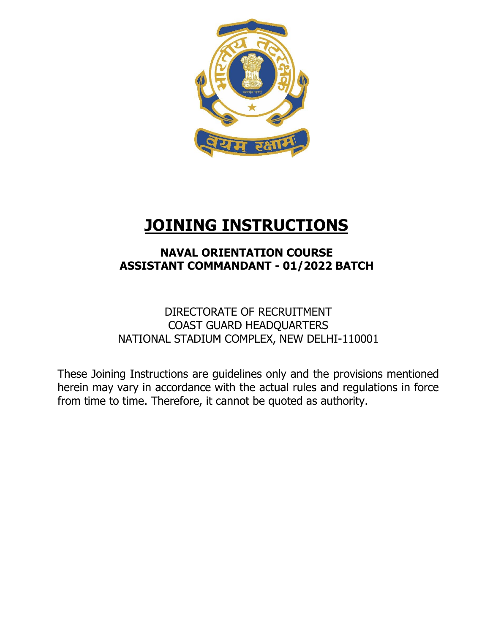

# **JOINING INSTRUCTIONS**

# **NAVAL ORIENTATION COURSE ASSISTANT COMMANDANT - 01/2022 BATCH**

# DIRECTORATE OF RECRUITMENT COAST GUARD HEADQUARTERS NATIONAL STADIUM COMPLEX, NEW DELHI-110001

These Joining Instructions are guidelines only and the provisions mentioned herein may vary in accordance with the actual rules and regulations in force from time to time. Therefore, it cannot be quoted as authority.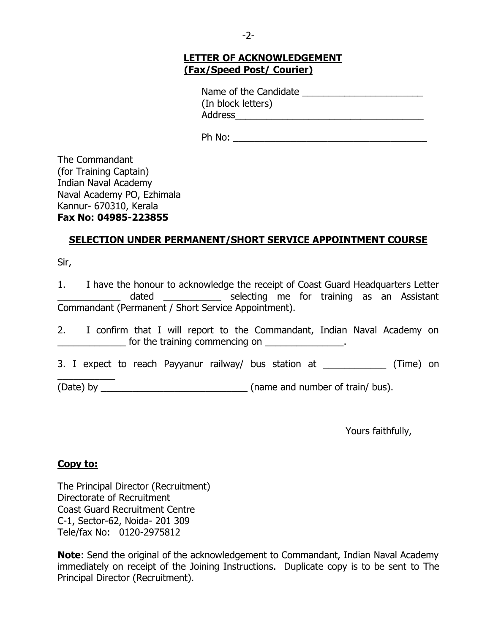# **LETTER OF ACKNOWLEDGEMENT (Fax/Speed Post/ Courier)**

Name of the Candidate \_\_\_\_\_\_\_\_\_\_\_\_\_\_\_\_\_\_\_\_\_\_\_ (In block letters) Address\_\_\_\_\_\_\_\_\_\_\_\_\_\_\_\_\_\_\_\_\_\_\_\_\_\_\_\_\_\_\_\_\_\_\_\_

Ph No: \_\_\_\_\_\_\_\_\_\_\_\_\_\_\_\_\_\_\_\_\_\_\_\_\_\_\_\_\_\_\_\_\_\_\_\_\_

The Commandant (for Training Captain) Indian Naval Academy Naval Academy PO, Ezhimala Kannur- 670310, Kerala **Fax No: 04985-223855**

# **SELECTION UNDER PERMANENT/SHORT SERVICE APPOINTMENT COURSE**

Sir,

1. I have the honour to acknowledge the receipt of Coast Guard Headquarters Letter dated entity selecting me for training as an Assistant Commandant (Permanent / Short Service Appointment).

|  |  |  |                                |  | I confirm that I will report to the Commandant, Indian Naval Academy on |  |  |
|--|--|--|--------------------------------|--|-------------------------------------------------------------------------|--|--|
|  |  |  | for the training commencing on |  |                                                                         |  |  |

3. I expect to reach Payyanur railway/ bus station at \_\_\_\_\_\_\_\_\_\_\_\_\_ (Time) on

(Date) by  $($ Date) by  $($  name and number of train/ bus).

Yours faithfully,

#### **Copy to:**

 $\overline{\phantom{a}}$ 

The Principal Director (Recruitment) Directorate of Recruitment Coast Guard Recruitment Centre C-1, Sector-62, Noida- 201 309 Tele/fax No: 0120-2975812

**Note**: Send the original of the acknowledgement to Commandant, Indian Naval Academy immediately on receipt of the Joining Instructions. Duplicate copy is to be sent to The Principal Director (Recruitment).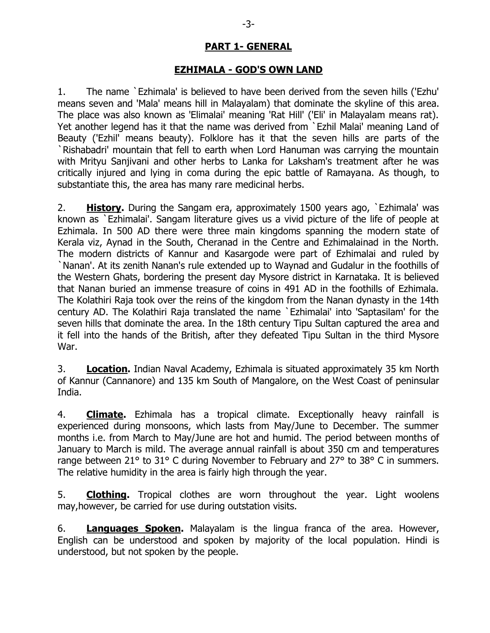# **PART 1- GENERAL**

#### **EZHIMALA - GOD'S OWN LAND**

1. The name `Ezhimala' is believed to have been derived from the seven hills ('Ezhu' means seven and 'Mala' means hill in Malayalam) that dominate the skyline of this area. The place was also known as 'Elimalai' meaning 'Rat Hill' ('Eli' in Malayalam means rat). Yet another legend has it that the name was derived from `Ezhil Malai' meaning Land of Beauty ('Ezhil' means beauty). Folklore has it that the seven hills are parts of the `Rishabadri' mountain that fell to earth when Lord Hanuman was carrying the mountain with Mrityu Sanjivani and other herbs to Lanka for Laksham's treatment after he was critically injured and lying in coma during the epic battle of Ramayana. As though, to substantiate this, the area has many rare medicinal herbs.

2. **History.** During the Sangam era, approximately 1500 years ago, `Ezhimala' was known as `Ezhimalai'. Sangam literature gives us a vivid picture of the life of people at Ezhimala. In 500 AD there were three main kingdoms spanning the modern state of Kerala viz, Aynad in the South, Cheranad in the Centre and Ezhimalainad in the North. The modern districts of Kannur and Kasargode were part of Ezhimalai and ruled by `Nanan'. At its zenith Nanan's rule extended up to Waynad and Gudalur in the foothills of the Western Ghats, bordering the present day Mysore district in Karnataka. It is believed that Nanan buried an immense treasure of coins in 491 AD in the foothills of Ezhimala. The Kolathiri Raja took over the reins of the kingdom from the Nanan dynasty in the 14th century AD. The Kolathiri Raja translated the name `Ezhimalai' into 'Saptasilam' for the seven hills that dominate the area. In the 18th century Tipu Sultan captured the area and it fell into the hands of the British, after they defeated Tipu Sultan in the third Mysore War.

3. **Location.** Indian Naval Academy, Ezhimala is situated approximately 35 km North of Kannur (Cannanore) and 135 km South of Mangalore, on the West Coast of peninsular India.

4. **Climate.** Ezhimala has a tropical climate. Exceptionally heavy rainfall is experienced during monsoons, which lasts from May/June to December. The summer months i.e. from March to May/June are hot and humid. The period between months of January to March is mild. The average annual rainfall is about 350 cm and temperatures range between 21° to 31° C during November to February and 27° to 38° C in summers. The relative humidity in the area is fairly high through the year.

5. **Clothing.** Tropical clothes are worn throughout the year. Light woolens may,however, be carried for use during outstation visits.

6. **Languages Spoken.** Malayalam is the lingua franca of the area. However, English can be understood and spoken by majority of the local population. Hindi is understood, but not spoken by the people.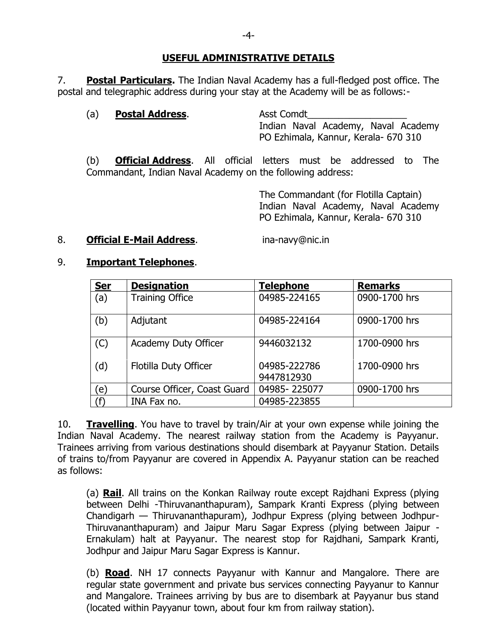#### **USEFUL ADMINISTRATIVE DETAILS**

7. **Postal Particulars.** The Indian Naval Academy has a full-fledged post office. The postal and telegraphic address during your stay at the Academy will be as follows:-

#### (a) **Postal Address**. Asst Comdt

Indian Naval Academy, Naval Academy PO Ezhimala, Kannur, Kerala- 670 310

(b) **Official Address**. All official letters must be addressed to The Commandant, Indian Naval Academy on the following address:

> The Commandant (for Flotilla Captain) Indian Naval Academy, Naval Academy PO Ezhimala, Kannur, Kerala- 670 310

#### 8. **Official E-Mail Address**. **ina-navy@nic.in**

#### 9. **Important Telephones**.

| <b>Ser</b> | <b>Designation</b>          | <b>Telephone</b>           | <b>Remarks</b> |
|------------|-----------------------------|----------------------------|----------------|
| (a)        | <b>Training Office</b>      | 04985-224165               | 0900-1700 hrs  |
| (b)        | Adjutant                    | 04985-224164               | 0900-1700 hrs  |
| (C)        | <b>Academy Duty Officer</b> | 9446032132                 | 1700-0900 hrs  |
| (d)        | Flotilla Duty Officer       | 04985-222786<br>9447812930 | 1700-0900 hrs  |
| 'e`        | Course Officer, Coast Guard | 04985-225077               | 0900-1700 hrs  |
| (f)        | INA Fax no.                 | 04985-223855               |                |

10. **Travelling**. You have to travel by train/Air at your own expense while joining the Indian Naval Academy. The nearest railway station from the Academy is Payyanur. Trainees arriving from various destinations should disembark at Payyanur Station. Details of trains to/from Payyanur are covered in Appendix A. Payyanur station can be reached as follows:

(a) **Rail**. All trains on the Konkan Railway route except Rajdhani Express (plying between Delhi -Thiruvananthapuram), Sampark Kranti Express (plying between Chandigarh — Thiruvananthapuram), Jodhpur Express (plying between Jodhpur-Thiruvananthapuram) and Jaipur Maru Sagar Express (plying between Jaipur - Ernakulam) halt at Payyanur. The nearest stop for Rajdhani, Sampark Kranti, Jodhpur and Jaipur Maru Sagar Express is Kannur.

(b) **Road**. NH 17 connects Payyanur with Kannur and Mangalore. There are regular state government and private bus services connecting Payyanur to Kannur and Mangalore. Trainees arriving by bus are to disembark at Payyanur bus stand (located within Payyanur town, about four km from railway station).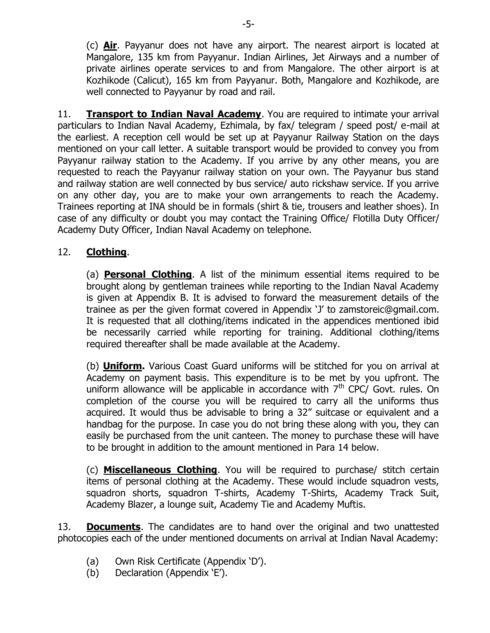(c) **Air**. Payyanur does not have any airport. The nearest airport is located at Mangalore, 135 km from Payyanur. Indian Airlines, Jet Airways and a number of private airlines operate services to and from Mangalore. The other airport is at Kozhikode (Calicut), 165 km from Payyanur. Both, Mangalore and Kozhikode, are well connected to Payyanur by road and rail.

11. **Transport to Indian Naval Academy**. You are required to intimate your arrival particulars to Indian Naval Academy, Ezhimala, by fax/ telegram / speed post/ e-mail at the earliest. A reception cell would be set up at Payyanur Railway Station on the days mentioned on your call letter. A suitable transport would be provided to convey you from Payyanur railway station to the Academy. If you arrive by any other means, you are requested to reach the Payyanur railway station on your own. The Payyanur bus stand and railway station are well connected by bus service/ auto rickshaw service. If you arrive on any other day, you are to make your own arrangements to reach the Academy. Trainees reporting at INA should be in formals (shirt & tie, trousers and leather shoes). In case of any difficulty or doubt you may contact the Training Office/ Flotilla Duty Officer/ Academy Duty Officer, Indian Naval Academy on telephone.

# 12. **Clothing**.

(a) **Personal Clothing**. A list of the minimum essential items required to be brought along by gentleman trainees while reporting to the Indian Naval Academy is given at Appendix B. It is advised to forward the measurement details of the trainee as per the given format covered in Appendix 'J' to zamstoreic@gmail.com. It is requested that all clothing/items indicated in the appendices mentioned ibid be necessarily carried while reporting for training. Additional clothing/items required thereafter shall be made available at the Academy.

(b) **Uniform.** Various Coast Guard uniforms will be stitched for you on arrival at Academy on payment basis. This expenditure is to be met by you upfront. The uniform allowance will be applicable in accordance with  $7<sup>th</sup>$  CPC/ Govt. rules. On completion of the course you will be required to carry all the uniforms thus acquired. It would thus be advisable to bring a 32" suitcase or equivalent and a handbag for the purpose. In case you do not bring these along with you, they can easily be purchased from the unit canteen. The money to purchase these will have to be brought in addition to the amount mentioned in Para 14 below.

(c) **Miscellaneous Clothing**. You will be required to purchase/ stitch certain items of personal clothing at the Academy. These would include squadron vests, squadron shorts, squadron T-shirts, Academy T-Shirts, Academy Track Suit, Academy Blazer, a lounge suit, Academy Tie and Academy Muftis.

13. **Documents**. The candidates are to hand over the original and two unattested photocopies each of the under mentioned documents on arrival at Indian Naval Academy:

- (a) Own Risk Certificate (Appendix 'D').
- (b) Declaration (Appendix `E').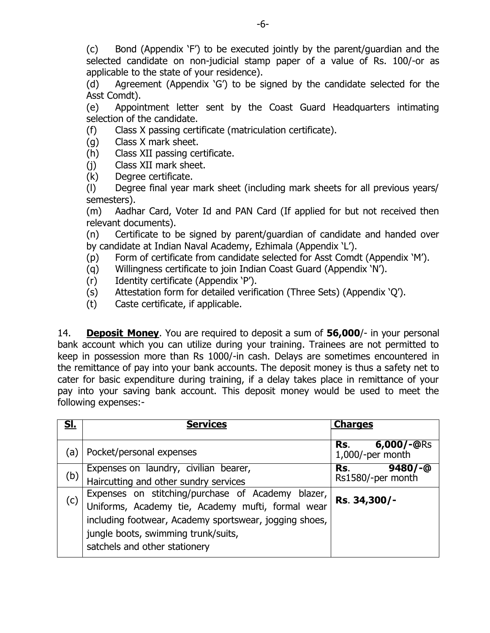(c) Bond (Appendix ‗F') to be executed jointly by the parent/guardian and the selected candidate on non-judicial stamp paper of a value of Rs. 100/-or as applicable to the state of your residence).

(d) Agreement (Appendix  $\overline{G}$ ) to be signed by the candidate selected for the Asst Comdt).

(e) Appointment letter sent by the Coast Guard Headquarters intimating selection of the candidate.

(f) Class X passing certificate (matriculation certificate).

(g) Class X mark sheet.

(h) Class XII passing certificate.

(j) Class XII mark sheet.

(k) Degree certificate.

(l) Degree final year mark sheet (including mark sheets for all previous years/ semesters).

(m) Aadhar Card, Voter Id and PAN Card (If applied for but not received then relevant documents).

(n) Certificate to be signed by parent/guardian of candidate and handed over by candidate at Indian Naval Academy, Ezhimala (Appendix ‗L').

(p) Form of certificate from candidate selected for Asst Comdt (Appendix ‗M').

- (q) Willingness certificate to join Indian Coast Guard (Appendix ‗N').
- (r) Identity certificate (Appendix ‗P').
- (s) Attestation form for detailed verification (Three Sets) (Appendix 'Q').
- (t) Caste certificate, if applicable.

14. **Deposit Money**. You are required to deposit a sum of **56,000**/- in your personal bank account which you can utilize during your training. Trainees are not permitted to keep in possession more than Rs 1000/-in cash. Delays are sometimes encountered in the remittance of pay into your bank accounts. The deposit money is thus a safety net to cater for basic expenditure during training, if a delay takes place in remittance of your pay into your saving bank account. This deposit money would be used to meet the following expenses:-

| <u>Sl.</u> | <b>Services</b>                                                                                                                                                                                         | <b>Charges</b>                          |
|------------|---------------------------------------------------------------------------------------------------------------------------------------------------------------------------------------------------------|-----------------------------------------|
| (a)        | Pocket/personal expenses                                                                                                                                                                                | $6,000/-@RS$<br>Rs.<br>1,000/-per month |
| (b)        | Expenses on laundry, civilian bearer,<br>Haircutting and other sundry services                                                                                                                          | $9480/-$<br>Rs.<br>Rs1580/-per month    |
| (c)        | Expenses on stitching/purchase of Academy blazer,<br>Uniforms, Academy tie, Academy mufti, formal wear<br>including footwear, Academy sportswear, jogging shoes,<br>jungle boots, swimming trunk/suits, | Rs. 34,300/-                            |
|            | satchels and other stationery                                                                                                                                                                           |                                         |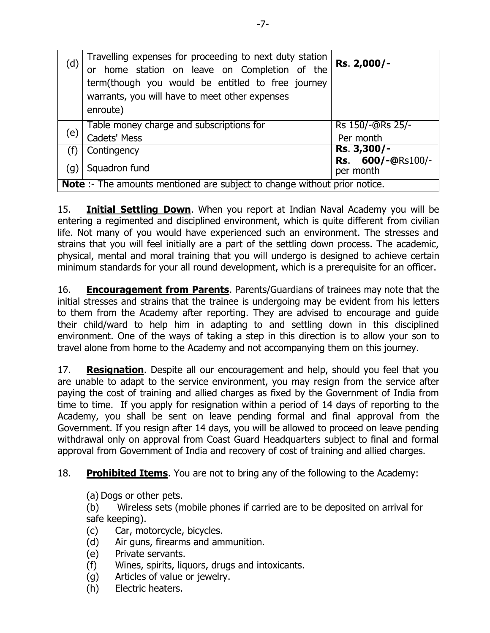| (d) | Travelling expenses for proceeding to next duty station<br>or home station on leave on Completion of the<br>term(though you would be entitled to free journey<br>warrants, you will have to meet other expenses<br>enroute) | Rs. 2,000/-                   |  |  |
|-----|-----------------------------------------------------------------------------------------------------------------------------------------------------------------------------------------------------------------------------|-------------------------------|--|--|
| (e) | Table money charge and subscriptions for<br>Cadets' Mess                                                                                                                                                                    | Rs 150/-@Rs 25/-<br>Per month |  |  |
|     |                                                                                                                                                                                                                             |                               |  |  |
|     | Contingency                                                                                                                                                                                                                 | Rs. 3,300/-                   |  |  |
| (g) | Rs. 600/-@Rs100/-<br>Squadron fund<br>per month                                                                                                                                                                             |                               |  |  |
|     | <b>Note</b> :- The amounts mentioned are subject to change without prior notice.                                                                                                                                            |                               |  |  |

15. **Initial Settling Down**. When you report at Indian Naval Academy you will be entering a regimented and disciplined environment, which is quite different from civilian life. Not many of you would have experienced such an environment. The stresses and strains that you will feel initially are a part of the settling down process. The academic, physical, mental and moral training that you will undergo is designed to achieve certain minimum standards for your all round development, which is a prerequisite for an officer.

16. **Encouragement from Parents**. Parents/Guardians of trainees may note that the initial stresses and strains that the trainee is undergoing may be evident from his letters to them from the Academy after reporting. They are advised to encourage and guide their child/ward to help him in adapting to and settling down in this disciplined environment. One of the ways of taking a step in this direction is to allow your son to travel alone from home to the Academy and not accompanying them on this journey.

17. **Resignation**. Despite all our encouragement and help, should you feel that you are unable to adapt to the service environment, you may resign from the service after paying the cost of training and allied charges as fixed by the Government of India from time to time. If you apply for resignation within a period of 14 days of reporting to the Academy, you shall be sent on leave pending formal and final approval from the Government. If you resign after 14 days, you will be allowed to proceed on leave pending withdrawal only on approval from Coast Guard Headquarters subject to final and formal approval from Government of India and recovery of cost of training and allied charges.

18. **Prohibited Items**. You are not to bring any of the following to the Academy:

(a) Dogs or other pets.

(b) Wireless sets (mobile phones if carried are to be deposited on arrival for safe keeping).

- (c) Car, motorcycle, bicycles.
- (d) Air guns, firearms and ammunition.
- (e) Private servants.
- (f) Wines, spirits, liquors, drugs and intoxicants.
- (g) Articles of value or jewelry.
- (h) Electric heaters.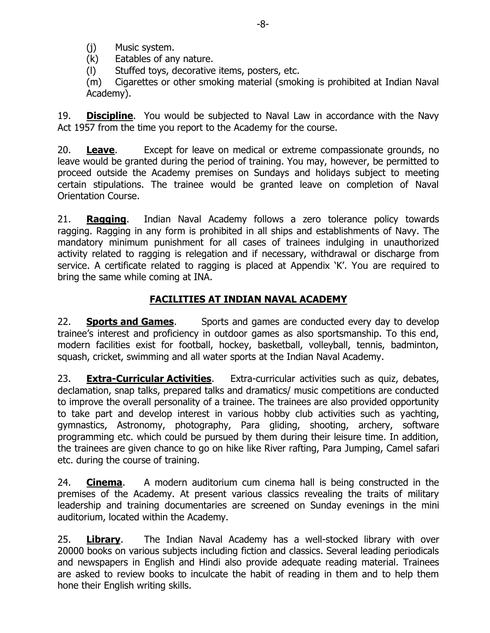(j) Music system.

(k) Eatables of any nature.

(l) Stuffed toys, decorative items, posters, etc.

(m) Cigarettes or other smoking material (smoking is prohibited at Indian Naval Academy).

19. **Discipline**. You would be subjected to Naval Law in accordance with the Navy Act 1957 from the time you report to the Academy for the course.

20. **Leave**. Except for leave on medical or extreme compassionate grounds, no leave would be granted during the period of training. You may, however, be permitted to proceed outside the Academy premises on Sundays and holidays subject to meeting certain stipulations. The trainee would be granted leave on completion of Naval Orientation Course.

21. **Ragging**. Indian Naval Academy follows a zero tolerance policy towards ragging. Ragging in any form is prohibited in all ships and establishments of Navy. The mandatory minimum punishment for all cases of trainees indulging in unauthorized activity related to ragging is relegation and if necessary, withdrawal or discharge from service. A certificate related to ragging is placed at Appendix `K'. You are required to bring the same while coming at INA.

# **FACILITIES AT INDIAN NAVAL ACADEMY**

22. **Sports and Games**. Sports and games are conducted every day to develop trainee's interest and proficiency in outdoor games as also sportsmanship. To this end, modern facilities exist for football, hockey, basketball, volleyball, tennis, badminton, squash, cricket, swimming and all water sports at the Indian Naval Academy.

23. **Extra-Curricular Activities**. Extra-curricular activities such as quiz, debates, declamation, snap talks, prepared talks and dramatics/ music competitions are conducted to improve the overall personality of a trainee. The trainees are also provided opportunity to take part and develop interest in various hobby club activities such as yachting, gymnastics, Astronomy, photography, Para gliding, shooting, archery, software programming etc. which could be pursued by them during their leisure time. In addition, the trainees are given chance to go on hike like River rafting, Para Jumping, Camel safari etc. during the course of training.

24. **Cinema**. A modern auditorium cum cinema hall is being constructed in the premises of the Academy. At present various classics revealing the traits of military leadership and training documentaries are screened on Sunday evenings in the mini auditorium, located within the Academy.

25. **Library**. The Indian Naval Academy has a well-stocked library with over 20000 books on various subjects including fiction and classics. Several leading periodicals and newspapers in English and Hindi also provide adequate reading material. Trainees are asked to review books to inculcate the habit of reading in them and to help them hone their English writing skills.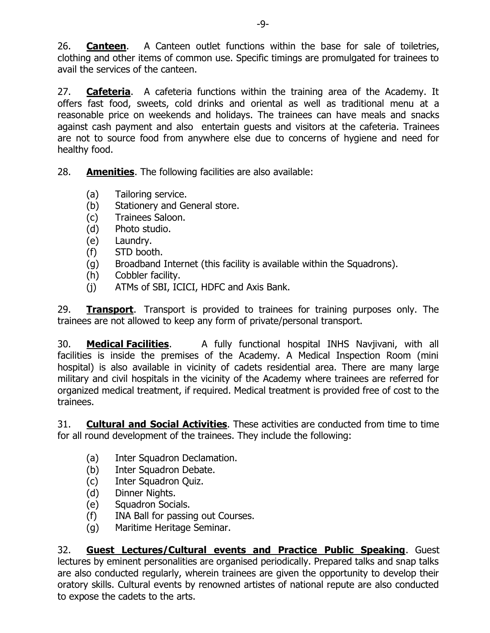26. **Canteen**. A Canteen outlet functions within the base for sale of toiletries, clothing and other items of common use. Specific timings are promulgated for trainees to avail the services of the canteen.

27. **Cafeteria**. A cafeteria functions within the training area of the Academy. It offers fast food, sweets, cold drinks and oriental as well as traditional menu at a reasonable price on weekends and holidays. The trainees can have meals and snacks against cash payment and also entertain guests and visitors at the cafeteria. Trainees are not to source food from anywhere else due to concerns of hygiene and need for healthy food.

28. **Amenities**. The following facilities are also available:

- (a) Tailoring service.
- (b) Stationery and General store.
- (c) Trainees Saloon.
- (d) Photo studio.
- (e) Laundry.
- (f) STD booth.
- (g) Broadband Internet (this facility is available within the Squadrons).
- (h) Cobbler facility.
- (j) ATMs of SBI, ICICI, HDFC and Axis Bank.

29. **Transport**. Transport is provided to trainees for training purposes only. The trainees are not allowed to keep any form of private/personal transport.

30. **Medical Facilities**. A fully functional hospital INHS Navjivani, with all facilities is inside the premises of the Academy. A Medical Inspection Room (mini hospital) is also available in vicinity of cadets residential area. There are many large military and civil hospitals in the vicinity of the Academy where trainees are referred for organized medical treatment, if required. Medical treatment is provided free of cost to the trainees.

31. **Cultural and Social Activities**. These activities are conducted from time to time for all round development of the trainees. They include the following:

- (a) Inter Squadron Declamation.
- (b) Inter Squadron Debate.
- (c) Inter Squadron Quiz.
- (d) Dinner Nights.
- (e) Squadron Socials.
- (f) INA Ball for passing out Courses.
- (g) Maritime Heritage Seminar.

32. **Guest Lectures/Cultural events and Practice Public Speaking**. Guest lectures by eminent personalities are organised periodically. Prepared talks and snap talks are also conducted regularly, wherein trainees are given the opportunity to develop their oratory skills. Cultural events by renowned artistes of national repute are also conducted to expose the cadets to the arts.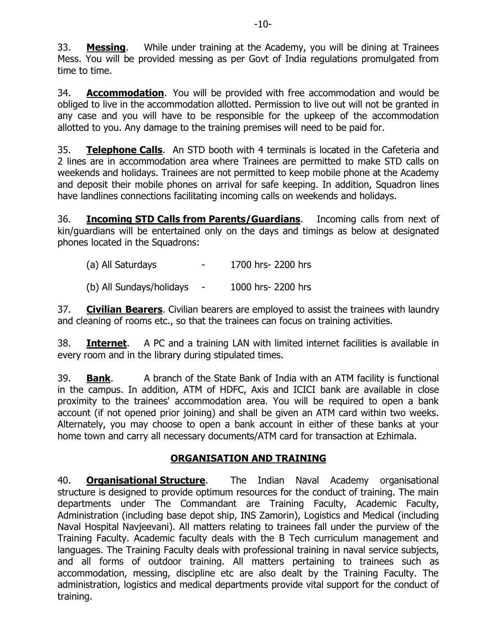33. **Messing**. While under training at the Academy, you will be dining at Trainees Mess. You will be provided messing as per Govt of India regulations promulgated from time to time.

34. **Accommodation**. You will be provided with free accommodation and would be obliged to live in the accommodation allotted. Permission to live out will not be granted in any case and you will have to be responsible for the upkeep of the accommodation allotted to you. Any damage to the training premises will need to be paid for.

35. **Telephone Calls**. An STD booth with 4 terminals is located in the Cafeteria and 2 lines are in accommodation area where Trainees are permitted to make STD calls on weekends and holidays. Trainees are not permitted to keep mobile phone at the Academy and deposit their mobile phones on arrival for safe keeping. In addition, Squadron lines have landlines connections facilitating incoming calls on weekends and holidays.

36. **Incoming STD Calls from Parents/Guardians**. Incoming calls from next of kin/guardians will be entertained only on the days and timings as below at designated phones located in the Squadrons:

(a) All Saturdays - 1700 hrs- 2200 hrs (b) All Sundays/holidays - 1000 hrs- 2200 hrs

37. **Civilian Bearers**. Civilian bearers are employed to assist the trainees with laundry and cleaning of rooms etc., so that the trainees can focus on training activities.

38. **Internet**. A PC and a training LAN with limited internet facilities is available in every room and in the library during stipulated times.

39. **Bank**. A branch of the State Bank of India with an ATM facility is functional in the campus. In addition, ATM of HDFC, Axis and ICICI bank are available in close proximity to the trainees' accommodation area. You will be required to open a bank account (if not opened prior joining) and shall be given an ATM card within two weeks. Alternately, you may choose to open a bank account in either of these banks at your home town and carry all necessary documents/ATM card for transaction at Ezhimala.

# **ORGANISATION AND TRAINING**

40. **Organisational Structure**. The Indian Naval Academy organisational structure is designed to provide optimum resources for the conduct of training. The main departments under The Commandant are Training Faculty, Academic Faculty, Administration (including base depot ship, INS Zamorin), Logistics and Medical (including Naval Hospital Navjeevani). All matters relating to trainees fall under the purview of the Training Faculty. Academic faculty deals with the B Tech curriculum management and languages. The Training Faculty deals with professional training in naval service subjects, and all forms of outdoor training. All matters pertaining to trainees such as accommodation, messing, discipline etc are also dealt by the Training Faculty. The administration, logistics and medical departments provide vital support for the conduct of training.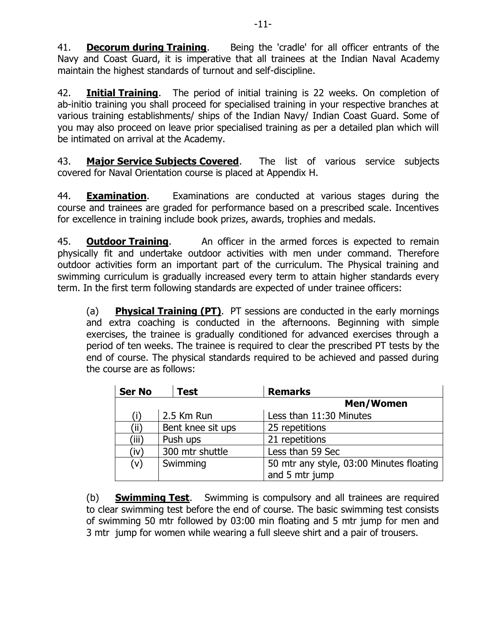41. **Decorum during Training**. Being the 'cradle' for all officer entrants of the Navy and Coast Guard, it is imperative that all trainees at the Indian Naval Academy maintain the highest standards of turnout and self-discipline.

42. **Initial Training**. The period of initial training is 22 weeks. On completion of ab-initio training you shall proceed for specialised training in your respective branches at various training establishments/ ships of the Indian Navy/ Indian Coast Guard. Some of you may also proceed on leave prior specialised training as per a detailed plan which will be intimated on arrival at the Academy.

43. **Major Service Subjects Covered**. The list of various service subjects covered for Naval Orientation course is placed at Appendix H.

44. **Examination**. Examinations are conducted at various stages during the course and trainees are graded for performance based on a prescribed scale. Incentives for excellence in training include book prizes, awards, trophies and medals.

45. **Outdoor Training**. An officer in the armed forces is expected to remain physically fit and undertake outdoor activities with men under command. Therefore outdoor activities form an important part of the curriculum. The Physical training and swimming curriculum is gradually increased every term to attain higher standards every term. In the first term following standards are expected of under trainee officers:

(a) **Physical Training (PT)**. PT sessions are conducted in the early mornings and extra coaching is conducted in the afternoons. Beginning with simple exercises, the trainee is gradually conditioned for advanced exercises through a period of ten weeks. The trainee is required to clear the prescribed PT tests by the end of course. The physical standards required to be achieved and passed during the course are as follows:

| <b>Ser No</b> | <b>Test</b>       | <b>Remarks</b>                           |
|---------------|-------------------|------------------------------------------|
|               |                   | Men/Women                                |
|               | 2.5 Km Run        | Less than 11:30 Minutes                  |
| (ii)          | Bent knee sit ups | 25 repetitions                           |
| (iii)         | Push ups          | 21 repetitions                           |
| (iv)          | 300 mtr shuttle   | Less than 59 Sec                         |
| (v)           | Swimming          | 50 mtr any style, 03:00 Minutes floating |
|               |                   | and 5 mtr jump                           |

(b) **Swimming Test**. Swimming is compulsory and all trainees are required to clear swimming test before the end of course. The basic swimming test consists of swimming 50 mtr followed by 03:00 min floating and 5 mtr jump for men and 3 mtr jump for women while wearing a full sleeve shirt and a pair of trousers.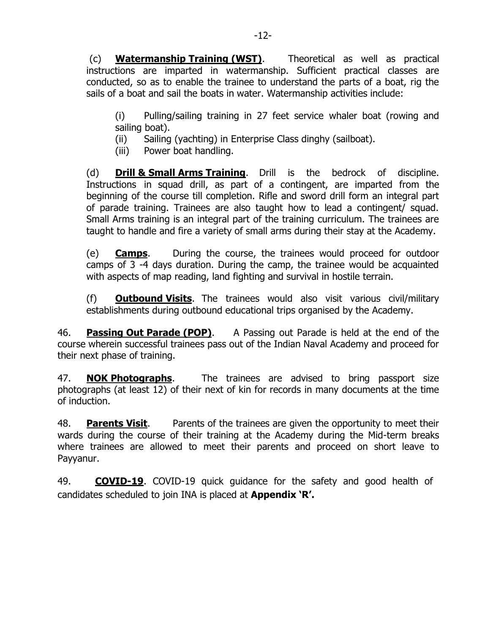(c) **Watermanship Training (WST)**. Theoretical as well as practical instructions are imparted in watermanship. Sufficient practical classes are conducted, so as to enable the trainee to understand the parts of a boat, rig the sails of a boat and sail the boats in water. Watermanship activities include:

(i) Pulling/sailing training in 27 feet service whaler boat (rowing and sailing boat).

(ii) Sailing (yachting) in Enterprise Class dinghy (sailboat).

(iii) Power boat handling.

(d) **Drill & Small Arms Training**. Drill is the bedrock of discipline. Instructions in squad drill, as part of a contingent, are imparted from the beginning of the course till completion. Rifle and sword drill form an integral part of parade training. Trainees are also taught how to lead a contingent/ squad. Small Arms training is an integral part of the training curriculum. The trainees are taught to handle and fire a variety of small arms during their stay at the Academy.

(e) **Camps**. During the course, the trainees would proceed for outdoor camps of 3 -4 days duration. During the camp, the trainee would be acquainted with aspects of map reading, land fighting and survival in hostile terrain.

(f) **Outbound Visits**. The trainees would also visit various civil/military establishments during outbound educational trips organised by the Academy.

46. **Passing Out Parade (POP)**. A Passing out Parade is held at the end of the course wherein successful trainees pass out of the Indian Naval Academy and proceed for their next phase of training.

47. **NOK Photographs**. The trainees are advised to bring passport size photographs (at least 12) of their next of kin for records in many documents at the time of induction.

48. **Parents Visit**. Parents of the trainees are given the opportunity to meet their wards during the course of their training at the Academy during the Mid-term breaks where trainees are allowed to meet their parents and proceed on short leave to Payyanur.

49. **COVID-19**. COVID-19 quick guidance for the safety and good health of candidates scheduled to join INA is placed at **Appendix 'R'.**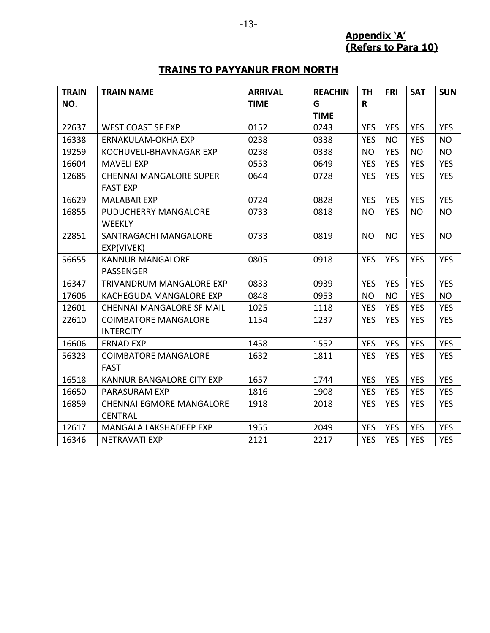**Appendix 'A' (Refers to Para 10)**

# **TRAINS TO PAYYANUR FROM NORTH**

| <b>TRAIN</b><br>NO. | <b>TRAIN NAME</b>                                 | <b>ARRIVAL</b><br><b>TIME</b> | <b>REACHIN</b><br>G | <b>TH</b><br>R | <b>FRI</b> | <b>SAT</b> | <b>SUN</b> |
|---------------------|---------------------------------------------------|-------------------------------|---------------------|----------------|------------|------------|------------|
|                     |                                                   |                               | <b>TIME</b>         |                |            |            |            |
| 22637               | <b>WEST COAST SF EXP</b>                          | 0152                          | 0243                | <b>YES</b>     | <b>YES</b> | <b>YES</b> | <b>YES</b> |
| 16338               | <b>ERNAKULAM-OKHA EXP</b>                         | 0238                          | 0338                | <b>YES</b>     | <b>NO</b>  | <b>YES</b> | <b>NO</b>  |
| 19259               | KOCHUVELI-BHAVNAGAR EXP                           | 0238                          | 0338                | <b>NO</b>      | <b>YES</b> | <b>NO</b>  | <b>NO</b>  |
| 16604               | <b>MAVELI EXP</b>                                 | 0553                          | 0649                | <b>YES</b>     | <b>YES</b> | <b>YES</b> | <b>YES</b> |
| 12685               | <b>CHENNAI MANGALORE SUPER</b><br><b>FAST EXP</b> | 0644                          | 0728                | <b>YES</b>     | <b>YES</b> | <b>YES</b> | <b>YES</b> |
| 16629               | <b>MALABAR EXP</b>                                | 0724                          | 0828                | <b>YES</b>     | <b>YES</b> | <b>YES</b> | <b>YES</b> |
| 16855               | PUDUCHERRY MANGALORE<br><b>WEEKLY</b>             | 0733                          | 0818                | <b>NO</b>      | <b>YES</b> | <b>NO</b>  | <b>NO</b>  |
| 22851               | SANTRAGACHI MANGALORE<br>EXP(VIVEK)               | 0733                          | 0819                | <b>NO</b>      | <b>NO</b>  | <b>YES</b> | <b>NO</b>  |
| 56655               | <b>KANNUR MANGALORE</b><br><b>PASSENGER</b>       | 0805                          | 0918                | <b>YES</b>     | <b>YES</b> | <b>YES</b> | <b>YES</b> |
| 16347               | <b>TRIVANDRUM MANGALORE EXP</b>                   | 0833                          | 0939                | <b>YES</b>     | <b>YES</b> | <b>YES</b> | <b>YES</b> |
| 17606               | KACHEGUDA MANGALORE EXP                           | 0848                          | 0953                | <b>NO</b>      | <b>NO</b>  | <b>YES</b> | <b>NO</b>  |
| 12601               | <b>CHENNAI MANGALORE SF MAIL</b>                  | 1025                          | 1118                | <b>YES</b>     | <b>YES</b> | <b>YES</b> | <b>YES</b> |
| 22610               | <b>COIMBATORE MANGALORE</b><br><b>INTERCITY</b>   | 1154                          | 1237                | <b>YES</b>     | <b>YES</b> | <b>YES</b> | <b>YES</b> |
| 16606               | <b>ERNAD EXP</b>                                  | 1458                          | 1552                | <b>YES</b>     | <b>YES</b> | <b>YES</b> | <b>YES</b> |
| 56323               | <b>COIMBATORE MANGALORE</b><br><b>FAST</b>        | 1632                          | 1811                | <b>YES</b>     | <b>YES</b> | <b>YES</b> | <b>YES</b> |
| 16518               | KANNUR BANGALORE CITY EXP                         | 1657                          | 1744                | <b>YES</b>     | <b>YES</b> | <b>YES</b> | <b>YES</b> |
| 16650               | <b>PARASURAM EXP</b>                              | 1816                          | 1908                | <b>YES</b>     | <b>YES</b> | <b>YES</b> | <b>YES</b> |
| 16859               | <b>CHENNAI EGMORE MANGALORE</b><br><b>CENTRAL</b> | 1918                          | 2018                | <b>YES</b>     | <b>YES</b> | <b>YES</b> | <b>YES</b> |
| 12617               | MANGALA LAKSHADEEP EXP                            | 1955                          | 2049                | <b>YES</b>     | <b>YES</b> | <b>YES</b> | <b>YES</b> |
| 16346               | <b>NETRAVATI EXP</b>                              | 2121                          | 2217                | <b>YES</b>     | <b>YES</b> | <b>YES</b> | <b>YES</b> |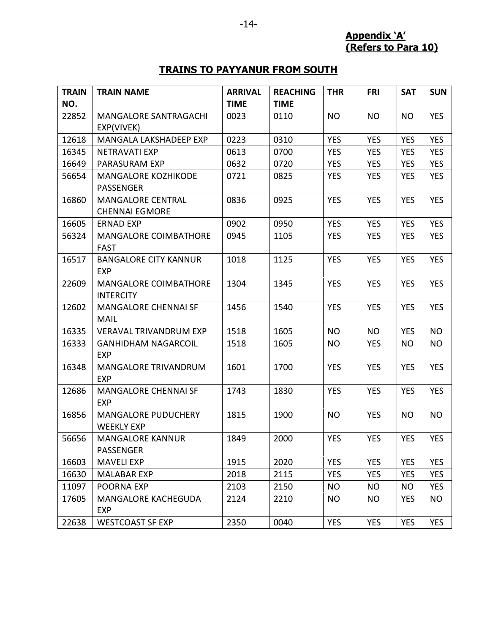**Appendix 'A' (Refers to Para 10)**

# **TRAINS TO PAYYANUR FROM SOUTH**

| <b>TRAIN</b> | <b>TRAIN NAME</b>                                 | <b>ARRIVAL</b> | <b>REACHING</b> | <b>THR</b> | <b>FRI</b> | <b>SAT</b> | <b>SUN</b> |
|--------------|---------------------------------------------------|----------------|-----------------|------------|------------|------------|------------|
| NO.          |                                                   | <b>TIME</b>    | <b>TIME</b>     |            |            |            |            |
| 22852        | <b>MANGALORE SANTRAGACHI</b>                      | 0023           | 0110            | <b>NO</b>  | <b>NO</b>  | <b>NO</b>  | <b>YES</b> |
|              | EXP(VIVEK)                                        |                |                 |            |            |            |            |
| 12618        | MANGALA LAKSHADEEP EXP                            | 0223           | 0310            | <b>YES</b> | <b>YES</b> | <b>YES</b> | <b>YES</b> |
| 16345        | <b>NETRAVATI EXP</b>                              | 0613           | 0700            | <b>YES</b> | <b>YES</b> | <b>YES</b> | <b>YES</b> |
| 16649        | PARASURAM EXP                                     | 0632           | 0720            | <b>YES</b> | <b>YES</b> | <b>YES</b> | <b>YES</b> |
| 56654        | <b>MANGALORE KOZHIKODE</b><br>PASSENGER           | 0721           | 0825            | <b>YES</b> | <b>YES</b> | <b>YES</b> | <b>YES</b> |
| 16860        | <b>MANGALORE CENTRAL</b><br><b>CHENNAI EGMORE</b> | 0836           | 0925            | <b>YES</b> | <b>YES</b> | <b>YES</b> | <b>YES</b> |
| 16605        | <b>ERNAD EXP</b>                                  | 0902           | 0950            | <b>YES</b> | <b>YES</b> | <b>YES</b> | <b>YES</b> |
| 56324        | <b>MANGALORE COIMBATHORE</b><br><b>FAST</b>       | 0945           | 1105            | <b>YES</b> | <b>YES</b> | <b>YES</b> | <b>YES</b> |
| 16517        | <b>BANGALORE CITY KANNUR</b><br><b>EXP</b>        | 1018           | 1125            | <b>YES</b> | <b>YES</b> | <b>YES</b> | <b>YES</b> |
| 22609        | <b>MANGALORE COIMBATHORE</b><br><b>INTERCITY</b>  | 1304           | 1345            | <b>YES</b> | <b>YES</b> | <b>YES</b> | <b>YES</b> |
| 12602        | <b>MANGALORE CHENNAI SF</b><br><b>MAIL</b>        | 1456           | 1540            | <b>YES</b> | <b>YES</b> | <b>YES</b> | <b>YES</b> |
| 16335        | <b>VERAVAL TRIVANDRUM EXP</b>                     | 1518           | 1605            | <b>NO</b>  | <b>NO</b>  | <b>YES</b> | <b>NO</b>  |
| 16333        | <b>GANHIDHAM NAGARCOIL</b><br><b>EXP</b>          | 1518           | 1605            | <b>NO</b>  | <b>YES</b> | <b>NO</b>  | <b>NO</b>  |
| 16348        | <b>MANGALORE TRIVANDRUM</b><br><b>EXP</b>         | 1601           | 1700            | <b>YES</b> | <b>YES</b> | <b>YES</b> | <b>YES</b> |
| 12686        | <b>MANGALORE CHENNAI SF</b><br><b>EXP</b>         | 1743           | 1830            | <b>YES</b> | <b>YES</b> | <b>YES</b> | <b>YES</b> |
| 16856        | <b>MANGALORE PUDUCHERY</b><br><b>WEEKLY EXP</b>   | 1815           | 1900            | <b>NO</b>  | <b>YES</b> | <b>NO</b>  | <b>NO</b>  |
| 56656        | <b>MANGALORE KANNUR</b><br>PASSENGER              | 1849           | 2000            | <b>YES</b> | <b>YES</b> | <b>YES</b> | <b>YES</b> |
| 16603        | <b>MAVELI EXP</b>                                 | 1915           | 2020            | <b>YES</b> | <b>YES</b> | <b>YES</b> | <b>YES</b> |
| 16630        | <b>MALABAR EXP</b>                                | 2018           | 2115            | <b>YES</b> | <b>YES</b> | <b>YES</b> | <b>YES</b> |
| 11097        | POORNA EXP                                        | 2103           | 2150            | NO.        | <b>NO</b>  | <b>NO</b>  | YES        |
| 17605        | MANGALORE KACHEGUDA<br>EXP                        | 2124           | 2210            | NO.        | <b>NO</b>  | <b>YES</b> | <b>NO</b>  |
| 22638        | <b>WESTCOAST SF EXP</b>                           | 2350           | 0040            | <b>YES</b> | <b>YES</b> | <b>YES</b> | <b>YES</b> |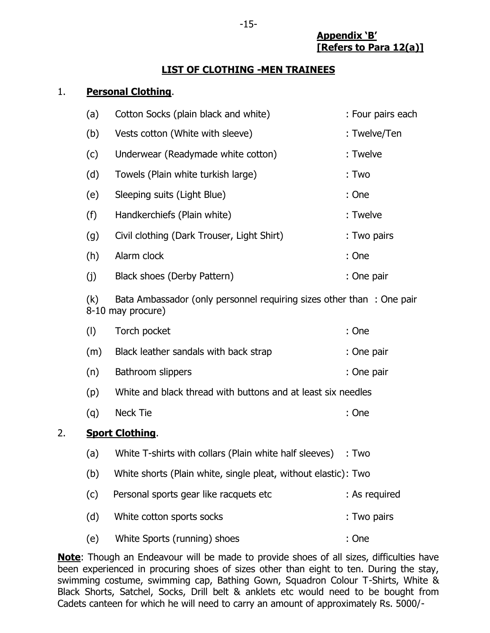**Appendix 'B' [Refers to Para 12(a)]**

#### **LIST OF CLOTHING -MEN TRAINEES**

#### 1. **Personal Clothing**.

| (a) | Cotton Socks (plain black and white)       | : Four pairs each |
|-----|--------------------------------------------|-------------------|
| (b) | Vests cotton (White with sleeve)           | : Twelve/Ten      |
| (c) | Underwear (Readymade white cotton)         | : Twelve          |
| (d) | Towels (Plain white turkish large)         | : Two             |
| (e) | Sleeping suits (Light Blue)                | : One             |
| (f) | Handkerchiefs (Plain white)                | : Twelve          |
| (g) | Civil clothing (Dark Trouser, Light Shirt) | : Two pairs       |
| (h) | Alarm clock                                | : One             |
| (j) | Black shoes (Derby Pattern)                | : One pair        |
|     |                                            |                   |

(k) Bata Ambassador (only personnel requiring sizes other than : One pair 8-10 may procure)

|    | (1) | Torch pocket                                                   | : One         |
|----|-----|----------------------------------------------------------------|---------------|
|    | (m) | Black leather sandals with back strap                          | : One pair    |
|    | (n) | Bathroom slippers                                              | : One pair    |
|    | (p) | White and black thread with buttons and at least six needles   |               |
|    | (q) | Neck Tie                                                       | : One         |
| 2. |     | <b>Sport Clothing.</b>                                         |               |
|    | (a) | White T-shirts with collars (Plain white half sleeves)         | :Two          |
|    | (b) | White shorts (Plain white, single pleat, without elastic): Two |               |
|    | (c) | Personal sports gear like racquets etc                         | : As required |
|    | (d) | White cotton sports socks                                      | : Two pairs   |
|    | (e) | White Sports (running) shoes                                   | : One         |

**Note**: Though an Endeavour will be made to provide shoes of all sizes, difficulties have been experienced in procuring shoes of sizes other than eight to ten. During the stay, swimming costume, swimming cap, Bathing Gown, Squadron Colour T-Shirts, White & Black Shorts, Satchel, Socks, Drill belt & anklets etc would need to be bought from Cadets canteen for which he will need to carry an amount of approximately Rs. 5000/-

-15-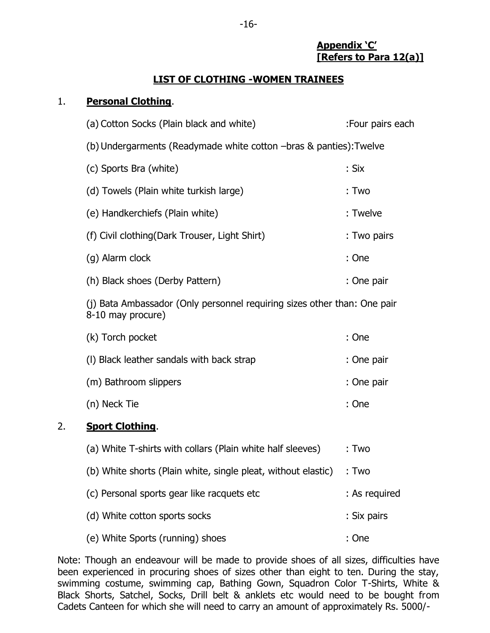#### **Appendix 'C' [Refers to Para 12(a)]**

#### **LIST OF CLOTHING -WOMEN TRAINEES**

#### 1. **Personal Clothing**.

|    | (a) Cotton Socks (Plain black and white)                                                      | :Four pairs each |
|----|-----------------------------------------------------------------------------------------------|------------------|
|    | (b) Undergarments (Readymade white cotton -bras & panties): Twelve                            |                  |
|    | (c) Sports Bra (white)                                                                        | : Six            |
|    | (d) Towels (Plain white turkish large)                                                        | : Two            |
|    | (e) Handkerchiefs (Plain white)                                                               | : Twelve         |
|    | (f) Civil clothing (Dark Trouser, Light Shirt)                                                | : Two pairs      |
|    | (g) Alarm clock                                                                               | : One            |
|    | (h) Black shoes (Derby Pattern)                                                               | : One pair       |
|    | (j) Bata Ambassador (Only personnel requiring sizes other than: One pair<br>8-10 may procure) |                  |
|    | (k) Torch pocket                                                                              | : One            |
|    | (I) Black leather sandals with back strap                                                     | : One pair       |
|    | (m) Bathroom slippers                                                                         | : One pair       |
|    | (n) Neck Tie                                                                                  | : One            |
| 2. | <b>Sport Clothing.</b>                                                                        |                  |
|    | (a) White T-shirts with collars (Plain white half sleeves)                                    | : Two            |
|    | (b) White shorts (Plain white, single pleat, without elastic)                                 | : Two            |
|    | (c) Personal sports gear like racquets etc                                                    | : As required    |
|    | (d) White cotton sports socks                                                                 | : Six pairs      |
|    | (e) White Sports (running) shoes                                                              | : One            |

Note: Though an endeavour will be made to provide shoes of all sizes, difficulties have been experienced in procuring shoes of sizes other than eight to ten. During the stay, swimming costume, swimming cap, Bathing Gown, Squadron Color T-Shirts, White & Black Shorts, Satchel, Socks, Drill belt & anklets etc would need to be bought from Cadets Canteen for which she will need to carry an amount of approximately Rs. 5000/-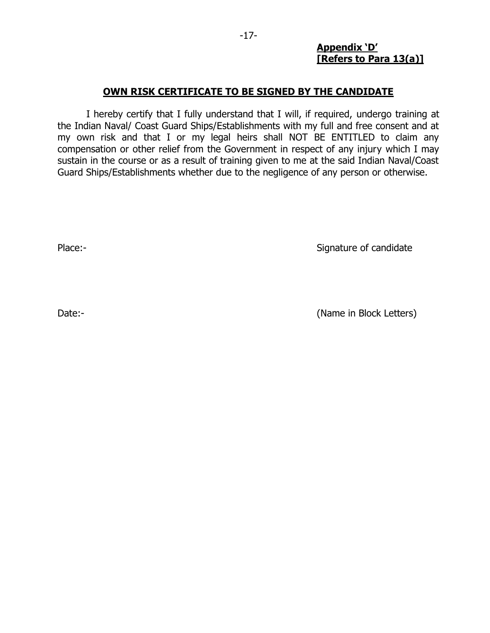#### **Appendix 'D' [Refers to Para 13(a)]**

#### **OWN RISK CERTIFICATE TO BE SIGNED BY THE CANDIDATE**

I hereby certify that I fully understand that I will, if required, undergo training at the Indian Naval/ Coast Guard Ships/Establishments with my full and free consent and at my own risk and that I or my legal heirs shall NOT BE ENTITLED to claim any compensation or other relief from the Government in respect of any injury which I may sustain in the course or as a result of training given to me at the said Indian Naval/Coast Guard Ships/Establishments whether due to the negligence of any person or otherwise.

Place:- Signature of candidate

Date:- (Name in Block Letters)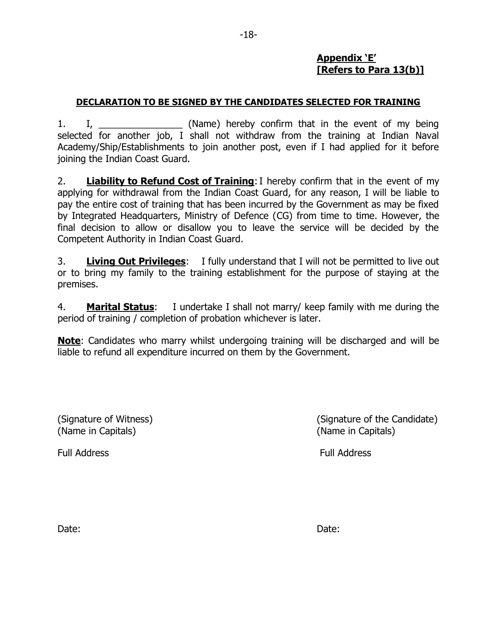# **Appendix 'E' [Refers to Para 13(b)]**

## **DECLARATION TO BE SIGNED BY THE CANDIDATES SELECTED FOR TRAINING**

1. I, \_\_\_\_\_\_\_\_\_\_\_\_\_\_\_\_ (Name) hereby confirm that in the event of my being selected for another job, I shall not withdraw from the training at Indian Naval Academy/Ship/Establishments to join another post, even if I had applied for it before joining the Indian Coast Guard.

2. **Liability to Refund Cost of Training**:I hereby confirm that in the event of my applying for withdrawal from the Indian Coast Guard, for any reason, I will be liable to pay the entire cost of training that has been incurred by the Government as may be fixed by Integrated Headquarters, Ministry of Defence (CG) from time to time. However, the final decision to allow or disallow you to leave the service will be decided by the Competent Authority in Indian Coast Guard.

3. **Living Out Privileges**: I fully understand that I will not be permitted to live out or to bring my family to the training establishment for the purpose of staying at the premises.

4. **Marital Status**: I undertake I shall not marry/ keep family with me during the period of training / completion of probation whichever is later.

**Note**: Candidates who marry whilst undergoing training will be discharged and will be liable to refund all expenditure incurred on them by the Government.

(Name in Capitals) (Name in Capitals)

(Signature of Witness) (Signature of the Candidate)

Full Address Full Address

Date: **Date:** Date: **Date:** Date: **Date: Date: Date: Date: Date: Date: Date: Date: Date: Date: Date: Date: Date: Date: Date: Date: Date: Date: Date: Date: Date: Date: Date: Dat**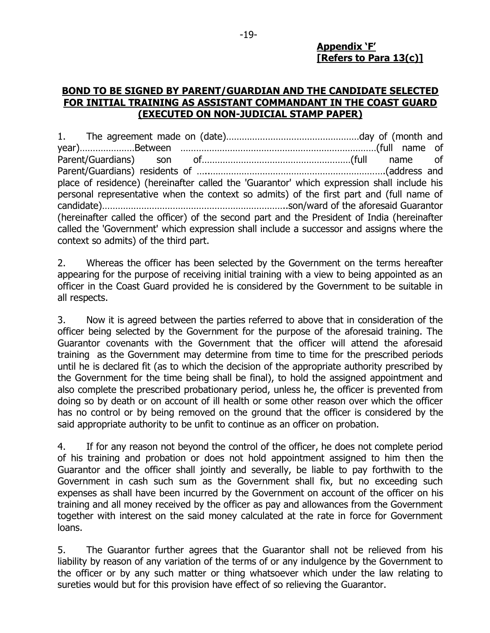#### **Appendix 'F' [Refers to Para 13(c)]**

#### **BOND TO BE SIGNED BY PARENT/GUARDIAN AND THE CANDIDATE SELECTED FOR INITIAL TRAINING AS ASSISTANT COMMANDANT IN THE COAST GUARD (EXECUTED ON NON-JUDICIAL STAMP PAPER)**

1. The agreement made on (date)……………………………………………day of (month and year)…………………Between …………………………………………………………………(full name of Parent/Guardians) son of…………………………………………………(full name of Parent/Guardians) residents of …..………………………………………………………….(address and place of residence) (hereinafter called the 'Guarantor' which expression shall include his personal representative when the context so admits) of the first part and (full name of candidate)……………………………………………………………..son/ward of the aforesaid Guarantor (hereinafter called the officer) of the second part and the President of India (hereinafter called the 'Government' which expression shall include a successor and assigns where the context so admits) of the third part.

2. Whereas the officer has been selected by the Government on the terms hereafter appearing for the purpose of receiving initial training with a view to being appointed as an officer in the Coast Guard provided he is considered by the Government to be suitable in all respects.

3. Now it is agreed between the parties referred to above that in consideration of the officer being selected by the Government for the purpose of the aforesaid training. The Guarantor covenants with the Government that the officer will attend the aforesaid training as the Government may determine from time to time for the prescribed periods until he is declared fit (as to which the decision of the appropriate authority prescribed by the Government for the time being shall be final), to hold the assigned appointment and also complete the prescribed probationary period, unless he, the officer is prevented from doing so by death or on account of ill health or some other reason over which the officer has no control or by being removed on the ground that the officer is considered by the said appropriate authority to be unfit to continue as an officer on probation.

4. If for any reason not beyond the control of the officer, he does not complete period of his training and probation or does not hold appointment assigned to him then the Guarantor and the officer shall jointly and severally, be liable to pay forthwith to the Government in cash such sum as the Government shall fix, but no exceeding such expenses as shall have been incurred by the Government on account of the officer on his training and all money received by the officer as pay and allowances from the Government together with interest on the said money calculated at the rate in force for Government loans.

5. The Guarantor further agrees that the Guarantor shall not be relieved from his liability by reason of any variation of the terms of or any indulgence by the Government to the officer or by any such matter or thing whatsoever which under the law relating to sureties would but for this provision have effect of so relieving the Guarantor.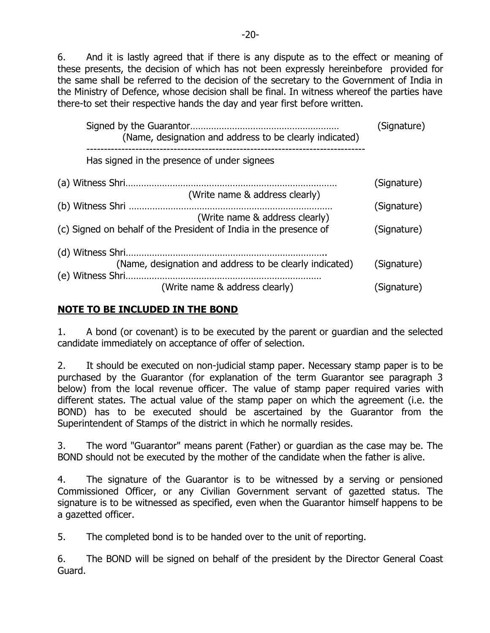6. And it is lastly agreed that if there is any dispute as to the effect or meaning of these presents, the decision of which has not been expressly hereinbefore provided for the same shall be referred to the decision of the secretary to the Government of India in the Ministry of Defence, whose decision shall be final. In witness whereof the parties have there-to set their respective hands the day and year first before written.

| (Name, designation and address to be clearly indicated)           | (Signature) |
|-------------------------------------------------------------------|-------------|
| Has signed in the presence of under signees                       |             |
|                                                                   | (Signature) |
| (Write name & address clearly)                                    |             |
|                                                                   | (Signature) |
| (Write name & address clearly)                                    |             |
| (c) Signed on behalf of the President of India in the presence of | (Signature) |
| (d) Witness Shri.                                                 |             |
| (Name, designation and address to be clearly indicated)           | (Signature) |
|                                                                   |             |
| (Write name & address clearly)                                    | (Signature) |

# **NOTE TO BE INCLUDED IN THE BOND**

1. A bond (or covenant) is to be executed by the parent or guardian and the selected candidate immediately on acceptance of offer of selection.

2. It should be executed on non-judicial stamp paper. Necessary stamp paper is to be purchased by the Guarantor (for explanation of the term Guarantor see paragraph 3 below) from the local revenue officer. The value of stamp paper required varies with different states. The actual value of the stamp paper on which the agreement (i.e. the BOND) has to be executed should be ascertained by the Guarantor from the Superintendent of Stamps of the district in which he normally resides.

3. The word "Guarantor" means parent (Father) or guardian as the case may be. The BOND should not be executed by the mother of the candidate when the father is alive.

4. The signature of the Guarantor is to be witnessed by a serving or pensioned Commissioned Officer, or any Civilian Government servant of gazetted status. The signature is to be witnessed as specified, even when the Guarantor himself happens to be a gazetted officer.

5. The completed bond is to be handed over to the unit of reporting.

6. The BOND will be signed on behalf of the president by the Director General Coast Guard.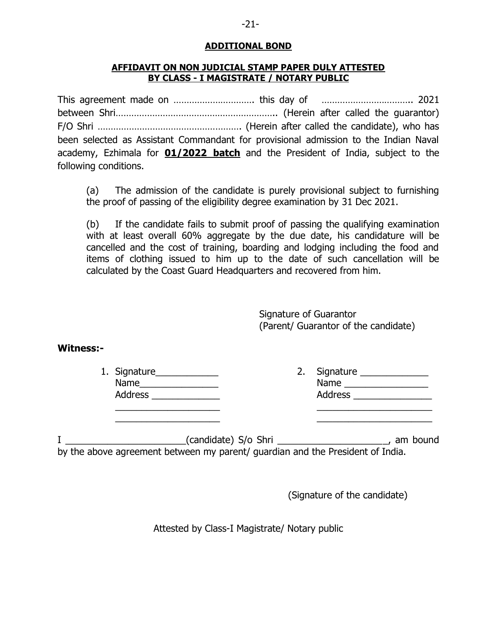#### **ADDITIONAL BOND**

#### **AFFIDAVIT ON NON JUDICIAL STAMP PAPER DULY ATTESTED BY CLASS - I MAGISTRATE / NOTARY PUBLIC**

This agreement made on …………………………. this day of …………………………….. 2021 between Shri…………………………………………………….. (Herein after called the guarantor) F/O Shri ………………………………………………. (Herein after called the candidate), who has been selected as Assistant Commandant for provisional admission to the Indian Naval academy, Ezhimala for **01/2022 batch** and the President of India, subject to the following conditions.

(a) The admission of the candidate is purely provisional subject to furnishing the proof of passing of the eligibility degree examination by 31 Dec 2021.

(b) If the candidate fails to submit proof of passing the qualifying examination with at least overall 60% aggregate by the due date, his candidature will be cancelled and the cost of training, boarding and lodging including the food and items of clothing issued to him up to the date of such cancellation will be calculated by the Coast Guard Headquarters and recovered from him.

> Signature of Guarantor (Parent/ Guarantor of the candidate)

#### **Witness:-**

| 1. Signature   |  |
|----------------|--|
| Name           |  |
| <b>Address</b> |  |

| 1. Signature_  | 2. Signature   |
|----------------|----------------|
| Name           | Name           |
| <b>Address</b> | <b>Address</b> |
|                |                |

I \_\_\_\_\_\_\_\_\_\_\_\_\_\_\_\_\_\_\_\_\_\_\_(candidate) S/o Shri \_\_\_\_\_\_\_\_\_\_\_\_\_\_\_\_\_\_\_\_\_, am bound by the above agreement between my parent/ guardian and the President of India.

 $\frac{1}{2}$  ,  $\frac{1}{2}$  ,  $\frac{1}{2}$  ,  $\frac{1}{2}$  ,  $\frac{1}{2}$  ,  $\frac{1}{2}$  ,  $\frac{1}{2}$  ,  $\frac{1}{2}$  ,  $\frac{1}{2}$  ,  $\frac{1}{2}$  ,  $\frac{1}{2}$  ,  $\frac{1}{2}$  ,  $\frac{1}{2}$  ,  $\frac{1}{2}$  ,  $\frac{1}{2}$  ,  $\frac{1}{2}$  ,  $\frac{1}{2}$  ,  $\frac{1}{2}$  ,  $\frac{1$ 

(Signature of the candidate)

Attested by Class-I Magistrate/ Notary public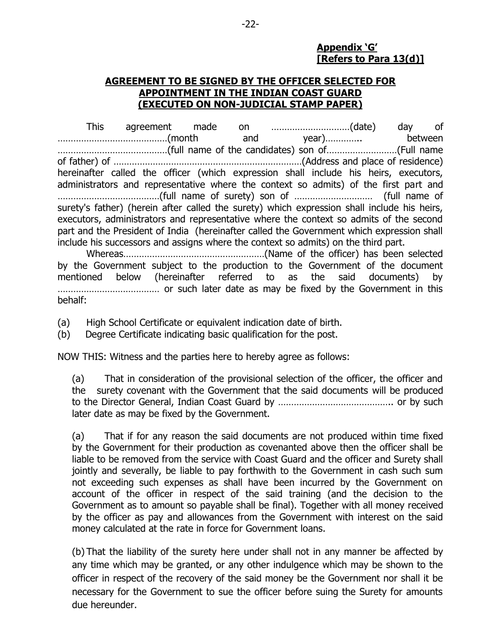#### **Appendix 'G' [Refers to Para 13(d)]**

#### **AGREEMENT TO BE SIGNED BY THE OFFICER SELECTED FOR APPOINTMENT IN THE INDIAN COAST GUARD (EXECUTED ON NON-JUDICIAL STAMP PAPER)**

This agreement made on …………………………(date) day of ……………………………………(month and year)………….. between ……………………………………(full name of the candidates) son of………………………(Full name of father) of ………………………………………………………………(Address and place of residence) hereinafter called the officer (which expression shall include his heirs, executors, administrators and representative where the context so admits) of the first part and …………………………………(full name of surety) son of ………………………… (full name of surety's father) (herein after called the surety) which expression shall include his heirs, executors, administrators and representative where the context so admits of the second part and the President of India (hereinafter called the Government which expression shall include his successors and assigns where the context so admits) on the third part.

Whereas………………………………………………(Name of the officer) has been selected by the Government subject to the production to the Government of the document mentioned below (hereinafter referred to as the said documents) by ………………………………… or such later date as may be fixed by the Government in this behalf:

(a) High School Certificate or equivalent indication date of birth.

(b) Degree Certificate indicating basic qualification for the post.

NOW THIS: Witness and the parties here to hereby agree as follows:

(a) That in consideration of the provisional selection of the officer, the officer and the surety covenant with the Government that the said documents will be produced to the Director General, Indian Coast Guard by …………………………………….. or by such later date as may be fixed by the Government.

(a) That if for any reason the said documents are not produced within time fixed by the Government for their production as covenanted above then the officer shall be liable to be removed from the service with Coast Guard and the officer and Surety shall jointly and severally, be liable to pay forthwith to the Government in cash such sum not exceeding such expenses as shall have been incurred by the Government on account of the officer in respect of the said training (and the decision to the Government as to amount so payable shall be final). Together with all money received by the officer as pay and allowances from the Government with interest on the said money calculated at the rate in force for Government loans.

(b) That the liability of the surety here under shall not in any manner be affected by any time which may be granted, or any other indulgence which may be shown to the officer in respect of the recovery of the said money be the Government nor shall it be necessary for the Government to sue the officer before suing the Surety for amounts due hereunder.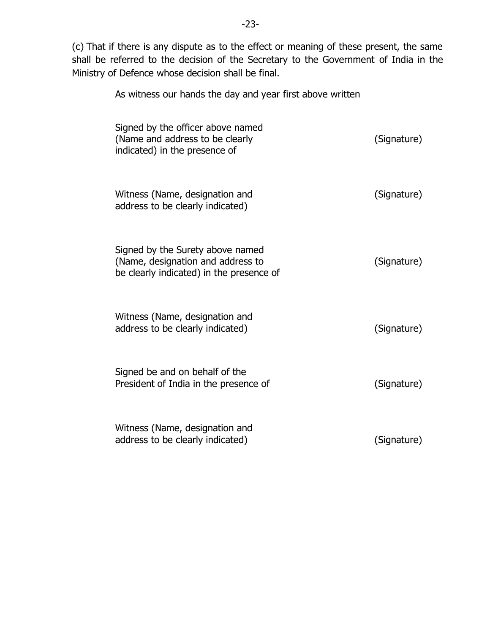(c) That if there is any dispute as to the effect or meaning of these present, the same shall be referred to the decision of the Secretary to the Government of India in the Ministry of Defence whose decision shall be final.

As witness our hands the day and year first above written

| Signed by the officer above named<br>(Name and address to be clearly<br>indicated) in the presence of             | (Signature) |
|-------------------------------------------------------------------------------------------------------------------|-------------|
| Witness (Name, designation and<br>address to be clearly indicated)                                                | (Signature) |
| Signed by the Surety above named<br>(Name, designation and address to<br>be clearly indicated) in the presence of | (Signature) |
| Witness (Name, designation and<br>address to be clearly indicated)                                                | (Signature) |
| Signed be and on behalf of the<br>President of India in the presence of                                           | (Signature) |
| Witness (Name, designation and<br>address to be clearly indicated)                                                | (Signature) |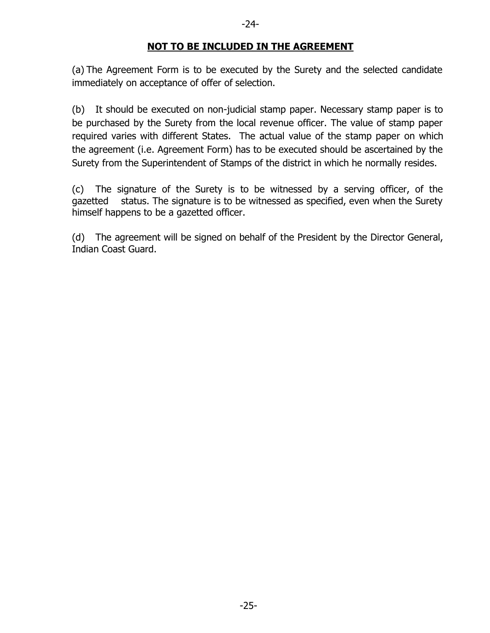#### **NOT TO BE INCLUDED IN THE AGREEMENT**

(a) The Agreement Form is to be executed by the Surety and the selected candidate immediately on acceptance of offer of selection.

(b) It should be executed on non-judicial stamp paper. Necessary stamp paper is to be purchased by the Surety from the local revenue officer. The value of stamp paper required varies with different States. The actual value of the stamp paper on which the agreement (i.e. Agreement Form) has to be executed should be ascertained by the Surety from the Superintendent of Stamps of the district in which he normally resides.

(c) The signature of the Surety is to be witnessed by a serving officer, of the gazetted status. The signature is to be witnessed as specified, even when the Surety himself happens to be a gazetted officer.

(d) The agreement will be signed on behalf of the President by the Director General, Indian Coast Guard.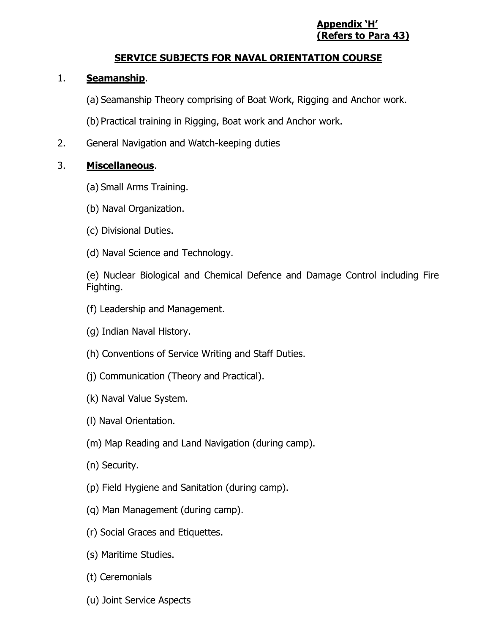#### **Appendix 'H' (Refers to Para 43)**

# **SERVICE SUBJECTS FOR NAVAL ORIENTATION COURSE**

#### 1. **Seamanship**.

(a) Seamanship Theory comprising of Boat Work, Rigging and Anchor work.

(b) Practical training in Rigging, Boat work and Anchor work.

2. General Navigation and Watch-keeping duties

#### 3. **Miscellaneous**.

- (a) Small Arms Training.
- (b) Naval Organization.
- (c) Divisional Duties.
- (d) Naval Science and Technology.

(e) Nuclear Biological and Chemical Defence and Damage Control including Fire Fighting.

- (f) Leadership and Management.
- (g) Indian Naval History.
- (h) Conventions of Service Writing and Staff Duties.
- (j) Communication (Theory and Practical).
- (k) Naval Value System.
- (l) Naval Orientation.
- (m) Map Reading and Land Navigation (during camp).
- (n) Security.
- (p) Field Hygiene and Sanitation (during camp).
- (q) Man Management (during camp).
- (r) Social Graces and Etiquettes.
- (s) Maritime Studies.
- (t) Ceremonials
- (u) Joint Service Aspects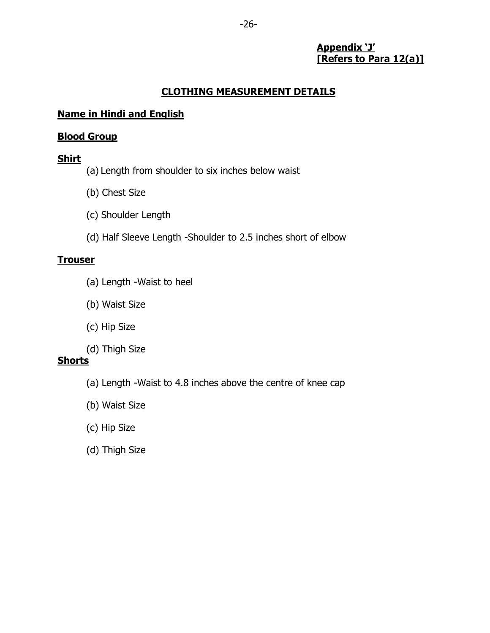#### **Appendix 'J' [Refers to Para 12(a)]**

# **CLOTHING MEASUREMENT DETAILS**

# **Name in Hindi and English**

## **Blood Group**

# **Shirt**

- (a) Length from shoulder to six inches below waist
- (b) Chest Size
- (c) Shoulder Length
- (d) Half Sleeve Length -Shoulder to 2.5 inches short of elbow

# **Trouser**

- (a) Length -Waist to heel
- (b) Waist Size
- (c) Hip Size
- (d) Thigh Size

# **Shorts**

- (a) Length -Waist to 4.8 inches above the centre of knee cap
- (b) Waist Size
- (c) Hip Size
- (d) Thigh Size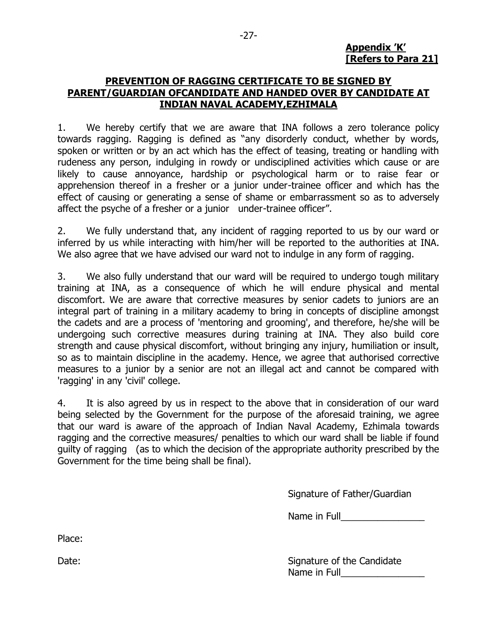#### **Appendix 'K' [Refers to Para 21]**

#### **PREVENTION OF RAGGING CERTIFICATE TO BE SIGNED BY PARENT/GUARDIAN OFCANDIDATE AND HANDED OVER BY CANDIDATE AT INDIAN NAVAL ACADEMY,EZHIMALA**

1. We hereby certify that we are aware that INA follows a zero tolerance policy towards ragging. Ragging is defined as "any disorderly conduct, whether by words, spoken or written or by an act which has the effect of teasing, treating or handling with rudeness any person, indulging in rowdy or undisciplined activities which cause or are likely to cause annoyance, hardship or psychological harm or to raise fear or apprehension thereof in a fresher or a junior under-trainee officer and which has the effect of causing or generating a sense of shame or embarrassment so as to adversely affect the psyche of a fresher or a junior under-trainee officer".

2. We fully understand that, any incident of ragging reported to us by our ward or inferred by us while interacting with him/her will be reported to the authorities at INA. We also agree that we have advised our ward not to indulge in any form of ragging.

3. We also fully understand that our ward will be required to undergo tough military training at INA, as a consequence of which he will endure physical and mental discomfort. We are aware that corrective measures by senior cadets to juniors are an integral part of training in a military academy to bring in concepts of discipline amongst the cadets and are a process of 'mentoring and grooming', and therefore, he/she will be undergoing such corrective measures during training at INA. They also build core strength and cause physical discomfort, without bringing any injury, humiliation or insult, so as to maintain discipline in the academy. Hence, we agree that authorised corrective measures to a junior by a senior are not an illegal act and cannot be compared with 'ragging' in any 'civil' college.

4. It is also agreed by us in respect to the above that in consideration of our ward being selected by the Government for the purpose of the aforesaid training, we agree that our ward is aware of the approach of Indian Naval Academy, Ezhimala towards ragging and the corrective measures/ penalties to which our ward shall be liable if found guilty of ragging (as to which the decision of the appropriate authority prescribed by the Government for the time being shall be final).

Signature of Father/Guardian

Name in Full

Place:

Date: Signature of the Candidate Date: Signature of the Candidate Date: Signature of the Candidate Name in Full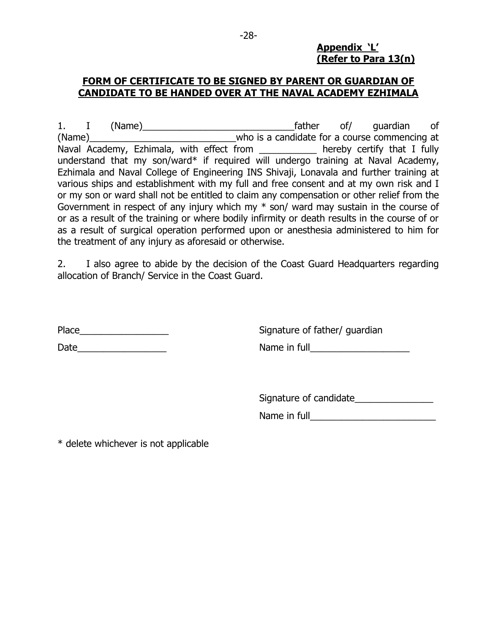#### **Appendix 'L' (Refer to Para 13(n)**

# **FORM OF CERTIFICATE TO BE SIGNED BY PARENT OR GUARDIAN OF CANDIDATE TO BE HANDED OVER AT THE NAVAL ACADEMY EZHIMALA**

1. I (Name)\_\_\_\_\_\_\_\_\_\_\_\_\_\_\_\_\_\_\_\_\_\_\_\_\_\_\_\_\_father of/ guardian of (Name)\_\_\_\_\_\_\_\_\_\_\_\_\_\_\_\_\_\_\_\_\_\_\_\_\_\_\_\_who is a candidate for a course commencing at Naval Academy, Ezhimala, with effect from \_\_\_\_\_\_\_\_\_\_\_ hereby certify that I fully understand that my son/ward\* if required will undergo training at Naval Academy, Ezhimala and Naval College of Engineering INS Shivaji, Lonavala and further training at various ships and establishment with my full and free consent and at my own risk and I or my son or ward shall not be entitled to claim any compensation or other relief from the Government in respect of any injury which my \* son/ ward may sustain in the course of or as a result of the training or where bodily infirmity or death results in the course of or as a result of surgical operation performed upon or anesthesia administered to him for the treatment of any injury as aforesaid or otherwise.

2. I also agree to abide by the decision of the Coast Guard Headquarters regarding allocation of Branch/ Service in the Coast Guard.

Place Place **Place** Signature of father/ guardian

Date\_\_\_\_\_\_\_\_\_\_\_\_\_\_\_\_\_ Name in full\_\_\_\_\_\_\_\_\_\_\_\_\_\_\_\_\_\_\_

Signature of candidate\_\_\_\_\_\_\_\_\_\_\_\_\_\_\_

Name in full

\* delete whichever is not applicable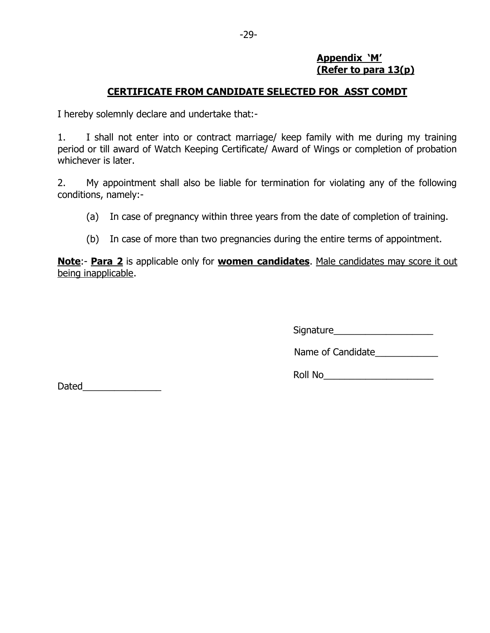#### **Appendix 'M' (Refer to para 13(p)**

## **CERTIFICATE FROM CANDIDATE SELECTED FOR ASST COMDT**

I hereby solemnly declare and undertake that:-

1. I shall not enter into or contract marriage/ keep family with me during my training period or till award of Watch Keeping Certificate/ Award of Wings or completion of probation whichever is later.

2. My appointment shall also be liable for termination for violating any of the following conditions, namely:-

(a) In case of pregnancy within three years from the date of completion of training.

(b) In case of more than two pregnancies during the entire terms of appointment.

**Note**:- **Para 2** is applicable only for **women candidates**. Male candidates may score it out being inapplicable.

Signature

Name of Candidate

Roll No\_\_\_\_\_\_\_\_\_\_\_\_\_\_\_\_\_\_\_\_\_

Dated\_\_\_\_\_\_\_\_\_\_\_\_\_\_\_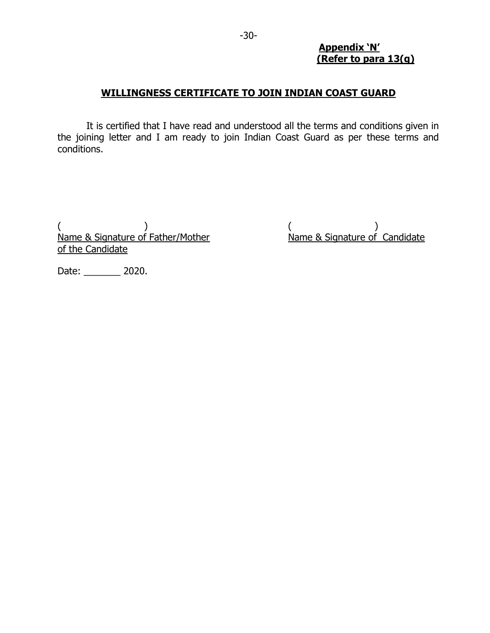#### **Appendix 'N' (Refer to para 13(q)**

#### **WILLINGNESS CERTIFICATE TO JOIN INDIAN COAST GUARD**

It is certified that I have read and understood all the terms and conditions given in the joining letter and I am ready to join Indian Coast Guard as per these terms and conditions.

 $($  )  $($  $\overrightarrow{N}$ ame & Signature of Father/Mother  $\overrightarrow{N}$  Mame & Signature of Candidate of the Candidate

Date: \_\_\_\_\_\_\_ 2020.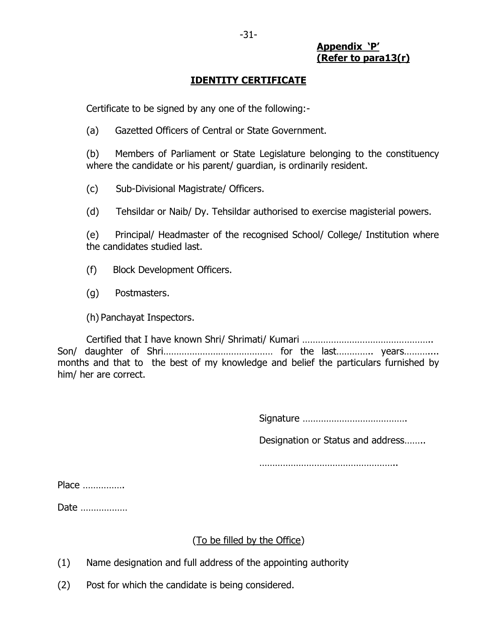#### **Appendix 'P' (Refer to para13(r)**

## **IDENTITY CERTIFICATE**

Certificate to be signed by any one of the following:-

(a) Gazetted Officers of Central or State Government.

(b) Members of Parliament or State Legislature belonging to the constituency where the candidate or his parent/ guardian, is ordinarily resident.

(c) Sub-Divisional Magistrate/ Officers.

(d) Tehsildar or Naib/ Dy. Tehsildar authorised to exercise magisterial powers.

(e) Principal/ Headmaster of the recognised School/ College/ Institution where the candidates studied last.

(f) Block Development Officers.

(g) Postmasters.

(h) Panchayat Inspectors.

Certified that I have known Shri/ Shrimati/ Kumari ………………………………………….. Son/ daughter of Shri…………………………………… for the last………….. years……….... months and that to the best of my knowledge and belief the particulars furnished by him/ her are correct.

Signature ………………………………….

Designation or Status and address……..

……………………………………………………

Place …………….

Date ………………

#### (To be filled by the Office)

- (1) Name designation and full address of the appointing authority
- (2) Post for which the candidate is being considered.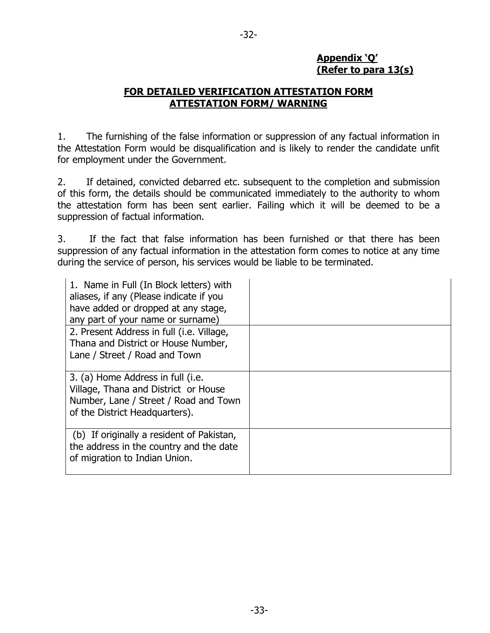## **Appendix 'Q' (Refer to para 13(s)**

#### **FOR DETAILED VERIFICATION ATTESTATION FORM ATTESTATION FORM/ WARNING**

1. The furnishing of the false information or suppression of any factual information in the Attestation Form would be disqualification and is likely to render the candidate unfit for employment under the Government.

2. If detained, convicted debarred etc. subsequent to the completion and submission of this form, the details should be communicated immediately to the authority to whom the attestation form has been sent earlier. Failing which it will be deemed to be a suppression of factual information.

3. If the fact that false information has been furnished or that there has been suppression of any factual information in the attestation form comes to notice at any time during the service of person, his services would be liable to be terminated.

| 1. Name in Full (In Block letters) with<br>aliases, if any (Please indicate if you                                                                   |  |
|------------------------------------------------------------------------------------------------------------------------------------------------------|--|
|                                                                                                                                                      |  |
| have added or dropped at any stage,                                                                                                                  |  |
| any part of your name or surname)                                                                                                                    |  |
| 2. Present Address in full (i.e. Village,                                                                                                            |  |
| Thana and District or House Number,                                                                                                                  |  |
| Lane / Street / Road and Town                                                                                                                        |  |
|                                                                                                                                                      |  |
| 3. (a) Home Address in full (i.e.<br>Village, Thana and District or House<br>Number, Lane / Street / Road and Town<br>of the District Headquarters). |  |
| (b) If originally a resident of Pakistan,<br>the address in the country and the date<br>of migration to Indian Union.                                |  |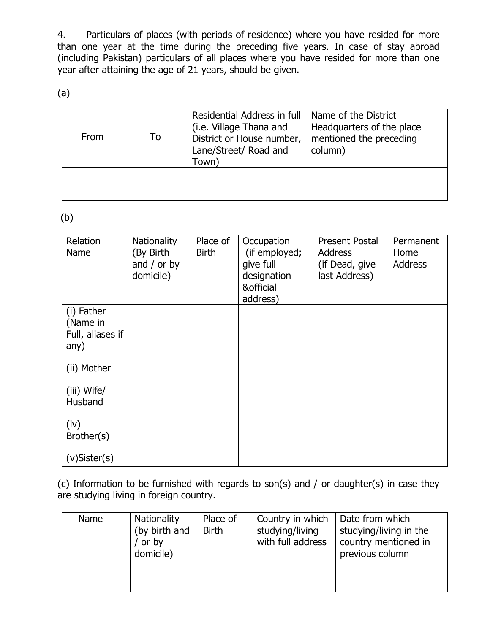4. Particulars of places (with periods of residence) where you have resided for more than one year at the time during the preceding five years. In case of stay abroad (including Pakistan) particulars of all places where you have resided for more than one year after attaining the age of 21 years, should be given.

(a)

| From | To | Residential Address in full<br>(i.e. Village Thana and<br>District or House number,<br>Lane/Street/ Road and<br>Town` | Name of the District<br>Headquarters of the place<br>mentioned the preceding<br>column) |
|------|----|-----------------------------------------------------------------------------------------------------------------------|-----------------------------------------------------------------------------------------|
|      |    |                                                                                                                       |                                                                                         |

(b)

| Relation<br>Name                                   | Nationality<br>(By Birth<br>and $/$ or by<br>domicile) | Place of<br><b>Birth</b> | Occupation<br>(if employed;<br>give full<br>designation<br>& official<br>address) | <b>Present Postal</b><br><b>Address</b><br>(if Dead, give<br>last Address) | Permanent<br>Home<br><b>Address</b> |
|----------------------------------------------------|--------------------------------------------------------|--------------------------|-----------------------------------------------------------------------------------|----------------------------------------------------------------------------|-------------------------------------|
| (i) Father<br>(Name in<br>Full, aliases if<br>any) |                                                        |                          |                                                                                   |                                                                            |                                     |
| (ii) Mother                                        |                                                        |                          |                                                                                   |                                                                            |                                     |
| (iii) Wife/<br>Husband                             |                                                        |                          |                                                                                   |                                                                            |                                     |
| (iv)<br>Brother(s)                                 |                                                        |                          |                                                                                   |                                                                            |                                     |
| $(v)$ Sister $(s)$                                 |                                                        |                          |                                                                                   |                                                                            |                                     |

(c) Information to be furnished with regards to son(s) and / or daughter(s) in case they are studying living in foreign country.

| <b>Name</b> | <b>Nationality</b><br>(by birth and<br>or by<br>domicile) | Place of<br><b>Birth</b> | Country in which<br>studying/living<br>with full address | Date from which<br>studying/living in the<br>country mentioned in<br>previous column |
|-------------|-----------------------------------------------------------|--------------------------|----------------------------------------------------------|--------------------------------------------------------------------------------------|
|             |                                                           |                          |                                                          |                                                                                      |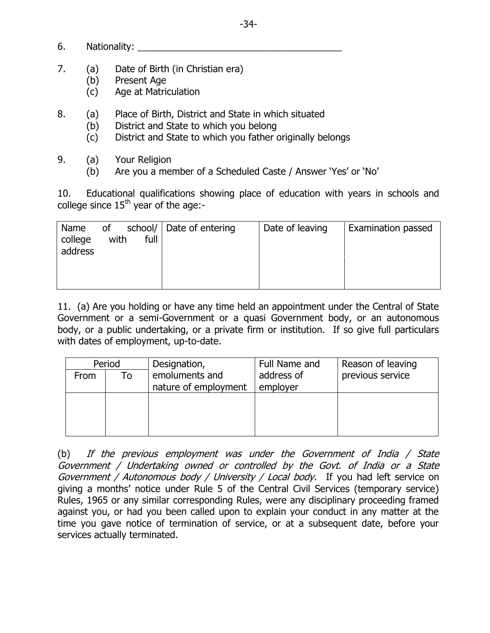- 6. Nationality:
- 7. (a) Date of Birth (in Christian era)
	- (b) Present Age
	- (c) Age at Matriculation
- 8. (a) Place of Birth, District and State in which situated
	- (b) District and State to which you belong
	- (c) District and State to which you father originally belongs
- 9. (a) Your Religion
	- (b) Are you a member of a Scheduled Caste / Answer 'Yes' or 'No'

10. Educational qualifications showing place of education with years in schools and college since  $15<sup>th</sup>$  year of the age:-

| Name<br>college<br>address | of<br>with | full | school/ Date of entering | Date of leaving | Examination passed |
|----------------------------|------------|------|--------------------------|-----------------|--------------------|
|                            |            |      |                          |                 |                    |

11. (a) Are you holding or have any time held an appointment under the Central of State Government or a semi-Government or a quasi Government body, or an autonomous body, or a public undertaking, or a private firm or institution. If so give full particulars with dates of employment, up-to-date.

| Period |    | Designation,         | Full Name and | Reason of leaving |
|--------|----|----------------------|---------------|-------------------|
| From   | To | emoluments and       | address of    | previous service  |
|        |    | nature of employment | employer      |                   |
|        |    |                      |               |                   |
|        |    |                      |               |                   |
|        |    |                      |               |                   |
|        |    |                      |               |                   |

(b) If the previous employment was under the Government of India / State Government / Undertaking owned or controlled by the Govt. of India or a State Government / Autonomous body / University / Local body. If you had left service on giving a months' notice under Rule 5 of the Central Civil Services (temporary service) Rules, 1965 or any similar corresponding Rules, were any disciplinary proceeding framed against you, or had you been called upon to explain your conduct in any matter at the time you gave notice of termination of service, or at a subsequent date, before your services actually terminated.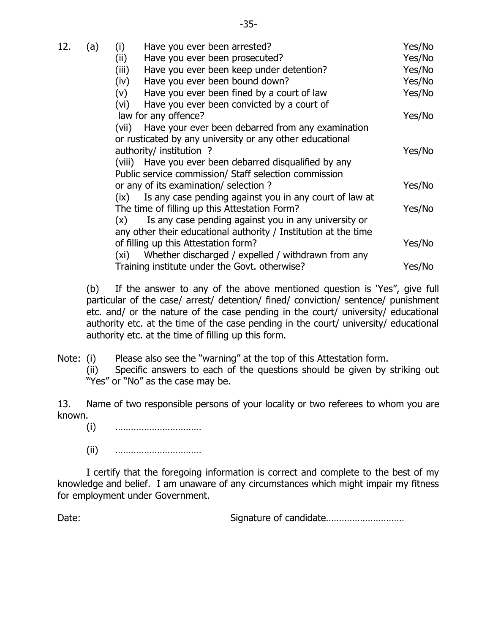| 12. | (a) | (i)<br>Have you ever been arrested?<br>(ii)<br>Have you ever been prosecuted?<br>(iii)<br>Have you ever been keep under detention?<br>Have you ever been bound down?<br>(iv)    | Yes/No<br>Yes/No<br>Yes/No<br>Yes/No<br>Yes/No |
|-----|-----|---------------------------------------------------------------------------------------------------------------------------------------------------------------------------------|------------------------------------------------|
|     |     | Have you ever been fined by a court of law<br>(v)<br>Have you ever been convicted by a court of<br>(vi)<br>law for any offence?                                                 | Yes/No                                         |
|     |     | Have your ever been debarred from any examination<br>(vii)<br>or rusticated by any university or any other educational<br>authority/ institution ?                              | Yes/No                                         |
|     |     | (viii) Have you ever been debarred disqualified by any<br>Public service commission/ Staff selection commission                                                                 |                                                |
|     |     | or any of its examination/ selection?<br>Is any case pending against you in any court of law at<br>(ix)                                                                         | Yes/No                                         |
|     |     | The time of filling up this Attestation Form?<br>Is any case pending against you in any university or<br>(x)<br>any other their educational authority / Institution at the time | Yes/No                                         |
|     |     | of filling up this Attestation form?<br>Whether discharged / expelled / withdrawn from any<br>(xi)                                                                              | Yes/No                                         |
|     |     | Training institute under the Govt. otherwise?                                                                                                                                   | Yes/No                                         |

(b) If the answer to any of the above mentioned question is 'Yes", give full particular of the case/ arrest/ detention/ fined/ conviction/ sentence/ punishment etc. and/ or the nature of the case pending in the court/ university/ educational authority etc. at the time of the case pending in the court/ university/ educational authority etc. at the time of filling up this form.

Note: (i) Please also see the "warning" at the top of this Attestation form.

(ii) Specific answers to each of the questions should be given by striking out "Yes" or "No" as the case may be.

13. Name of two responsible persons of your locality or two referees to whom you are known.

- (i) ……………………………
- (ii) ……………………………

I certify that the foregoing information is correct and complete to the best of my knowledge and belief. I am unaware of any circumstances which might impair my fitness for employment under Government.

Date: Signature of candidate…………………………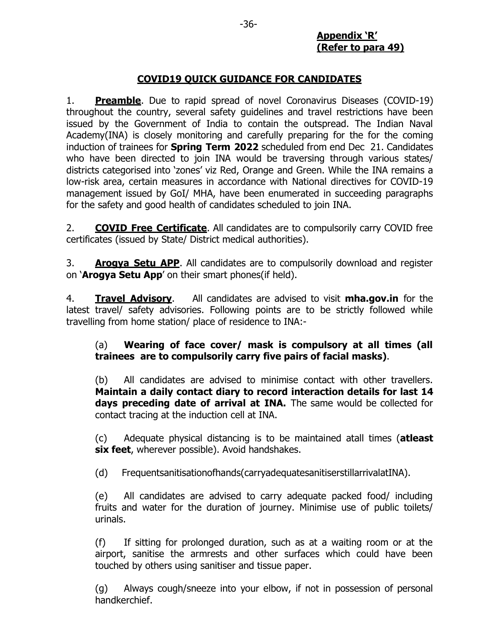#### **COVID19 QUICK GUIDANCE FOR CANDIDATES**

1. **Preamble**. Due to rapid spread of novel Coronavirus Diseases (COVID-19) throughout the country, several safety guidelines and travel restrictions have been issued by the Government of India to contain the outspread. The Indian Naval Academy(INA) is closely monitoring and carefully preparing for the for the coming induction of trainees for **Spring Term 2022** scheduled from end Dec 21. Candidates who have been directed to join INA would be traversing through various states/ districts categorised into 'zones' viz Red, Orange and Green. While the INA remains a low-risk area, certain measures in accordance with National directives for COVID-19 management issued by GoI/ MHA, have been enumerated in succeeding paragraphs for the safety and good health of candidates scheduled to join INA.

2. **COVID Free Certificate**. All candidates are to compulsorily carry COVID free certificates (issued by State/ District medical authorities).

3. **Arogya Setu APP**. All candidates are to compulsorily download and register on ‗**Arogya Setu App**' on their smart phones(if held).

4. **Travel Advisory**. All candidates are advised to visit **mha.gov.in** for the latest travel/ safety advisories. Following points are to be strictly followed while travelling from home station/ place of residence to INA:-

#### (a) **Wearing of face cover/ mask is compulsory at all times (all trainees are to compulsorily carry five pairs of facial masks)**.

(b) All candidates are advised to minimise contact with other travellers. **Maintain a daily contact diary to record interaction details for last 14 days preceding date of arrival at INA.** The same would be collected for contact tracing at the induction cell at INA.

(c) Adequate physical distancing is to be maintained atall times (**atleast six feet**, wherever possible). Avoid handshakes.

(d) Frequentsanitisationofhands(carryadequatesanitiserstillarrivalatINA).

(e) All candidates are advised to carry adequate packed food/ including fruits and water for the duration of journey. Minimise use of public toilets/ urinals.

(f) If sitting for prolonged duration, such as at a waiting room or at the airport, sanitise the armrests and other surfaces which could have been touched by others using sanitiser and tissue paper.

(g) Always cough/sneeze into your elbow, if not in possession of personal handkerchief.